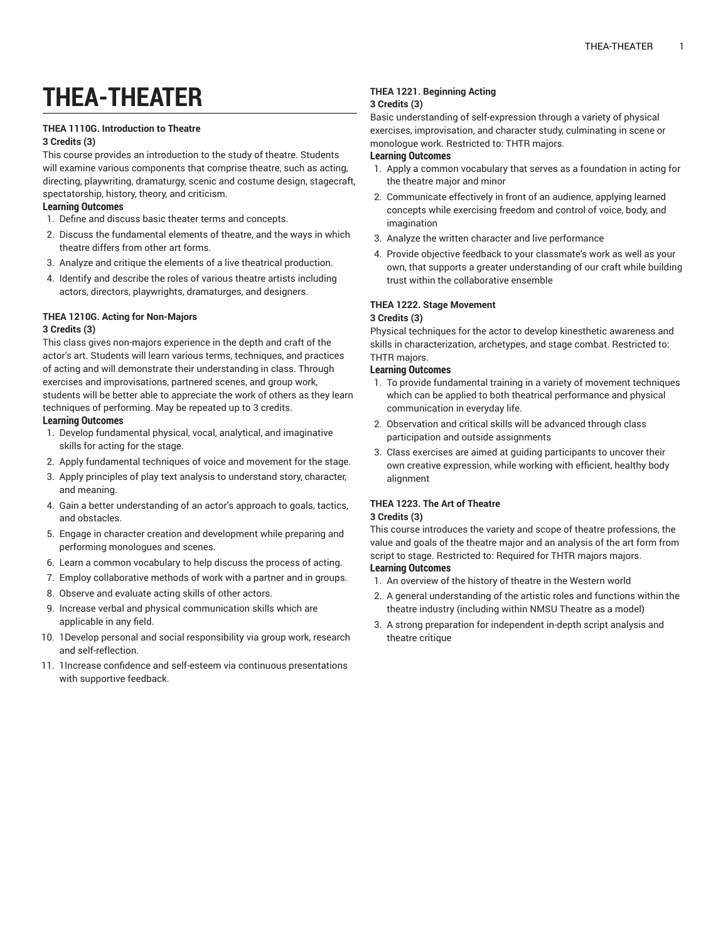# **THEA-THEATER**

## **THEA 1110G. Introduction to Theatre**

## **3 Credits (3)**

This course provides an introduction to the study of theatre. Students will examine various components that comprise theatre, such as acting, directing, playwriting, dramaturgy, scenic and costume design, stagecraft, spectatorship, history, theory, and criticism.

## **Learning Outcomes**

- 1. Define and discuss basic theater terms and concepts.
- 2. Discuss the fundamental elements of theatre, and the ways in which theatre differs from other art forms.
- 3. Analyze and critique the elements of a live theatrical production.
- 4. Identify and describe the roles of various theatre artists including actors, directors, playwrights, dramaturges, and designers.

## **THEA 1210G. Acting for Non-Majors**

#### **3 Credits (3)**

This class gives non-majors experience in the depth and craft of the actor's art. Students will learn various terms, techniques, and practices of acting and will demonstrate their understanding in class. Through exercises and improvisations, partnered scenes, and group work, students will be better able to appreciate the work of others as they learn techniques of performing. May be repeated up to 3 credits. **Learning Outcomes**

- 1. Develop fundamental physical, vocal, analytical, and imaginative skills for acting for the stage.
- 2. Apply fundamental techniques of voice and movement for the stage.
- 3. Apply principles of play text analysis to understand story, character, and meaning.
- 4. Gain a better understanding of an actor's approach to goals, tactics, and obstacles.
- 5. Engage in character creation and development while preparing and performing monologues and scenes.
- 6. Learn a common vocabulary to help discuss the process of acting.
- 7. Employ collaborative methods of work with a partner and in groups.
- 8. Observe and evaluate acting skills of other actors.
- 9. Increase verbal and physical communication skills which are applicable in any field.
- 10. 1Develop personal and social responsibility via group work, research and self-reflection.
- 11. 1Increase confidence and self-esteem via continuous presentations with supportive feedback.

#### **THEA 1221. Beginning Acting 3 Credits (3)**

Basic understanding of self-expression through a variety of physical exercises, improvisation, and character study, culminating in scene or monologue work. Restricted to: THTR majors.

## **Learning Outcomes**

- 1. Apply a common vocabulary that serves as a foundation in acting for the theatre major and minor
- 2. Communicate effectively in front of an audience, applying learned concepts while exercising freedom and control of voice, body, and imagination
- 3. Analyze the written character and live performance
- 4. Provide objective feedback to your classmate's work as well as your own, that supports a greater understanding of our craft while building trust within the collaborative ensemble

## **THEA 1222. Stage Movement**

#### **3 Credits (3)**

Physical techniques for the actor to develop kinesthetic awareness and skills in characterization, archetypes, and stage combat. Restricted to: THTR majors.

## **Learning Outcomes**

- 1. To provide fundamental training in a variety of movement techniques which can be applied to both theatrical performance and physical communication in everyday life.
- 2. Observation and critical skills will be advanced through class participation and outside assignments
- 3. Class exercises are aimed at guiding participants to uncover their own creative expression, while working with efficient, healthy body alignment

## **THEA 1223. The Art of Theatre**

#### **3 Credits (3)**

This course introduces the variety and scope of theatre professions, the value and goals of the theatre major and an analysis of the art form from script to stage. Restricted to: Required for THTR majors majors. **Learning Outcomes**

- 1. An overview of the history of theatre in the Western world
- 2. A general understanding of the artistic roles and functions within the theatre industry (including within NMSU Theatre as a model)
- 3. A strong preparation for independent in-depth script analysis and theatre critique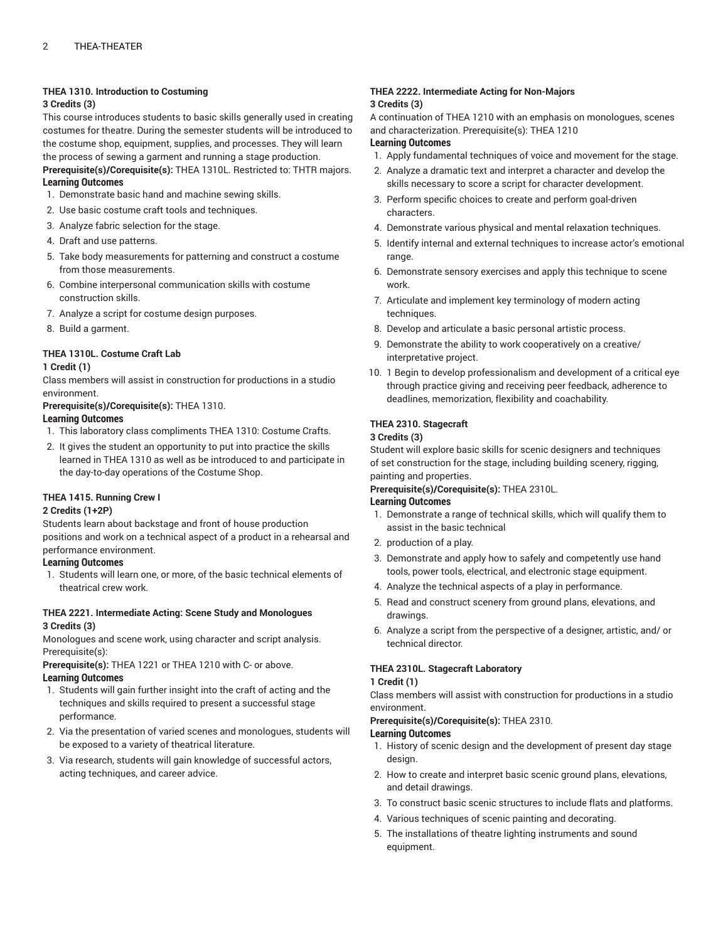## **THEA 1310. Introduction to Costuming**

#### **3 Credits (3)**

This course introduces students to basic skills generally used in creating costumes for theatre. During the semester students will be introduced to the costume shop, equipment, supplies, and processes. They will learn the process of sewing a garment and running a stage production. **Prerequisite(s)/Corequisite(s):** THEA 1310L. Restricted to: THTR majors.

#### **Learning Outcomes**

- 1. Demonstrate basic hand and machine sewing skills.
- 2. Use basic costume craft tools and techniques.
- 3. Analyze fabric selection for the stage.
- 4. Draft and use patterns.
- 5. Take body measurements for patterning and construct a costume from those measurements.
- 6. Combine interpersonal communication skills with costume construction skills.
- 7. Analyze a script for costume design purposes.
- 8. Build a garment.

## **THEA 1310L. Costume Craft Lab**

#### **1 Credit (1)**

Class members will assist in construction for productions in a studio environment.

**Prerequisite(s)/Corequisite(s):** THEA 1310.

## **Learning Outcomes**

- 1. This laboratory class compliments THEA 1310: Costume Crafts.
- 2. It gives the student an opportunity to put into practice the skills learned in THEA 1310 as well as be introduced to and participate in the day-to-day operations of the Costume Shop.

## **THEA 1415. Running Crew I**

#### **2 Credits (1+2P)**

Students learn about backstage and front of house production positions and work on a technical aspect of a product in a rehearsal and performance environment.

## **Learning Outcomes**

1. Students will learn one, or more, of the basic technical elements of theatrical crew work.

## **THEA 2221. Intermediate Acting: Scene Study and Monologues 3 Credits (3)**

Monologues and scene work, using character and script analysis. Prerequisite(s):

**Prerequisite(s):** THEA 1221 or THEA 1210 with C- or above.

# **Learning Outcomes**

- 1. Students will gain further insight into the craft of acting and the techniques and skills required to present a successful stage performance.
- 2. Via the presentation of varied scenes and monologues, students will be exposed to a variety of theatrical literature.
- 3. Via research, students will gain knowledge of successful actors, acting techniques, and career advice.

## **THEA 2222. Intermediate Acting for Non-Majors 3 Credits (3)**

A continuation of THEA 1210 with an emphasis on monologues, scenes and characterization. Prerequisite(s): THEA 1210

## **Learning Outcomes**

- 1. Apply fundamental techniques of voice and movement for the stage.
- 2. Analyze a dramatic text and interpret a character and develop the skills necessary to score a script for character development.
- 3. Perform specific choices to create and perform goal-driven characters.
- 4. Demonstrate various physical and mental relaxation techniques.
- 5. Identify internal and external techniques to increase actor's emotional range.
- 6. Demonstrate sensory exercises and apply this technique to scene work.
- 7. Articulate and implement key terminology of modern acting techniques.
- 8. Develop and articulate a basic personal artistic process.
- 9. Demonstrate the ability to work cooperatively on a creative/ interpretative project.
- 10. 1 Begin to develop professionalism and development of a critical eye through practice giving and receiving peer feedback, adherence to deadlines, memorization, flexibility and coachability.

## **THEA 2310. Stagecraft**

## **3 Credits (3)**

Student will explore basic skills for scenic designers and techniques of set construction for the stage, including building scenery, rigging, painting and properties.

**Prerequisite(s)/Corequisite(s):** THEA 2310L.

## **Learning Outcomes**

- 1. Demonstrate a range of technical skills, which will qualify them to assist in the basic technical
- 2. production of a play.
- 3. Demonstrate and apply how to safely and competently use hand tools, power tools, electrical, and electronic stage equipment.
- 4. Analyze the technical aspects of a play in performance.
- 5. Read and construct scenery from ground plans, elevations, and drawings.
- 6. Analyze a script from the perspective of a designer, artistic, and/ or technical director.

## **THEA 2310L. Stagecraft Laboratory**

#### **1 Credit (1)**

Class members will assist with construction for productions in a studio environment.

#### **Prerequisite(s)/Corequisite(s):** THEA 2310.

#### **Learning Outcomes**

- 1. History of scenic design and the development of present day stage design.
- 2. How to create and interpret basic scenic ground plans, elevations, and detail drawings.
- 3. To construct basic scenic structures to include flats and platforms.
- 4. Various techniques of scenic painting and decorating.
- 5. The installations of theatre lighting instruments and sound equipment.